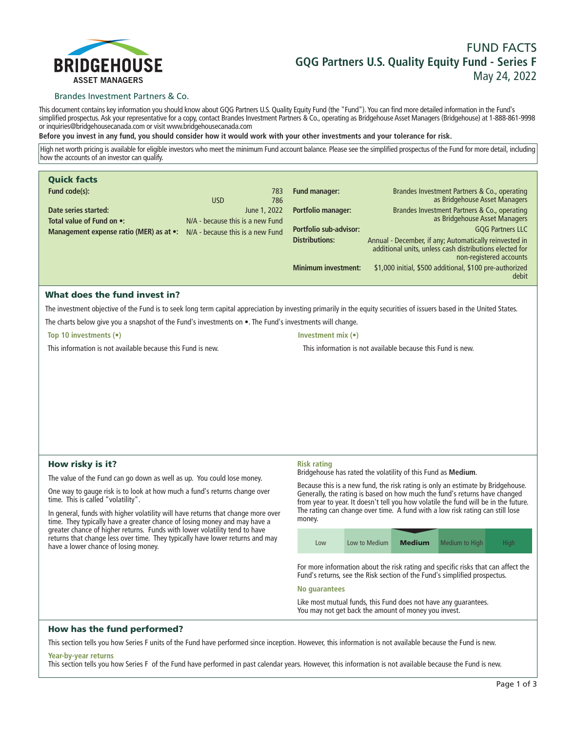

# **FUND FACTS GQG Partners U.S. Quality Equity Fund - Series F May 24, 2022**

## Brandes Investment Partners & Co.

**This document contains key information you should know about GQG Partners U.S. Quality Equity Fund (the "Fund"). You can find more detailed information in the Fund's simplified prospectus. Ask your representative for a copy, contact Brandes Investment Partners & Co., operating as Bridgehouse Asset Managers (Bridgehouse) at 1-888-861-9998 or inquiries@bridgehousecanada.com or visit www.bridgehousecanada.com**

**Before you invest in any fund, you should consider how it would work with your other investments and your tolerance for risk.**

**High net worth pricing is available for eligible investors who meet the minimum Fund account balance. Please see the simplified prospectus of the Fund for more detail, including how the accounts of an investor can qualify.**

| <b>Quick facts</b>                                                                |                                  |              |                               |                                                                                                                                              |
|-----------------------------------------------------------------------------------|----------------------------------|--------------|-------------------------------|----------------------------------------------------------------------------------------------------------------------------------------------|
| Fund code(s):                                                                     |                                  | 783          | Fund manager:                 | Brandes Investment Partners & Co., operating                                                                                                 |
|                                                                                   | <b>USD</b>                       | 786          |                               | as Bridgehouse Asset Managers                                                                                                                |
| Date series started:                                                              |                                  | June 1, 2022 | <b>Portfolio manager:</b>     | Brandes Investment Partners & Co., operating                                                                                                 |
| Total value of Fund on •:                                                         | N/A - because this is a new Fund |              |                               | as Bridgehouse Asset Managers                                                                                                                |
| <b>Management expense ratio (MER) as at •:</b> $N/A$ - because this is a new Fund |                                  |              | <b>Portfolio sub-advisor:</b> | <b>GQG Partners LLC</b>                                                                                                                      |
|                                                                                   |                                  |              | <b>Distributions:</b>         | Annual - December, if any; Automatically reinvested in<br>additional units, unless cash distributions elected for<br>non-registered accounts |
|                                                                                   |                                  |              | <b>Minimum investment:</b>    | \$1,000 initial, \$500 additional, \$100 pre-authorized<br>debit                                                                             |

# What does the fund invest in?

**The investment objective of the Fund is to seek long term capital appreciation by investing primarily in the equity securities of issuers based in the United States. The charts below give you a snapshot of the Fund's investments on •. The Fund's investments will change.**

**Top 10 investments (•)**

**This information is not available because this Fund is new.**

```
Investment mix (•)
```
**This information is not available because this Fund is new.**

# How risky is it?

**The value of the Fund can go down as well as up. You could lose money.**

**One way to gauge risk is to look at how much a fund's returns change over time. This is called "volatility".**

**In general, funds with higher volatility will have returns that change more over time. They typically have a greater chance of losing money and may have a greater chance of higher returns. Funds with lower volatility tend to have returns that change less over time. They typically have lower returns and may have a lower chance of losing money.**

#### **Risk rating**

**Bridgehouse has rated the volatility of this Fund as Medium.**

**Because this is a new fund, the risk rating is only an estimate by Bridgehouse. Generally, the rating is based on how much the fund's returns have changed from year to year. It doesn't tell you how volatile the fund will be in the future. The rating can change over time. A fund with a low risk rating can still lose money.**

| Low | Low to Medium | <b>Medium</b> | Medium to High | <b>High</b> |
|-----|---------------|---------------|----------------|-------------|

**For more information about the risk rating and specific risks that can affect the Fund's returns, see the Risk section of the Fund's simplified prospectus.**

## **No guarantees**

**Like most mutual funds, this Fund does not have any guarantees. You may not get back the amount of money you invest.**

# How has the fund performed?

**This section tells you how Series F units of the Fund have performed since inception. However, this information is not available because the Fund is new.**

#### **Year-by-year returns**

**This section tells you how Series F of the Fund have performed in past calendar years. However, this information is not available because the Fund is new.**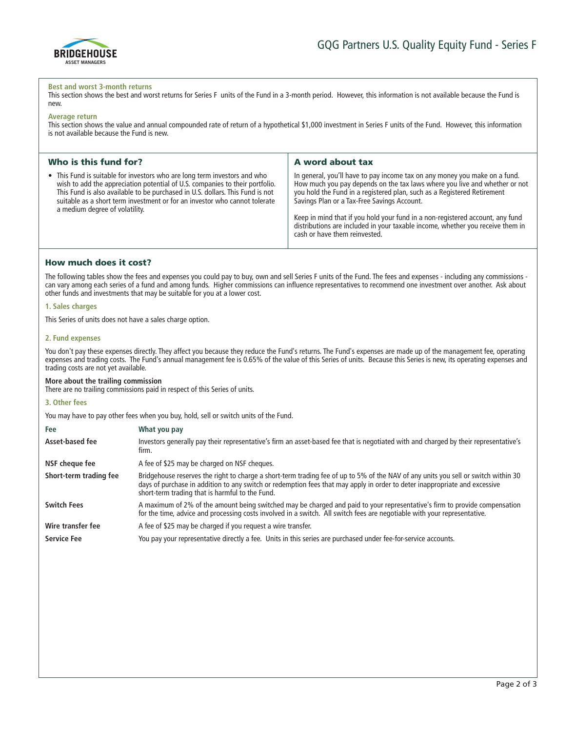

#### **Best and worst 3-month returns**

This section shows the best and worst returns for Series F units of the Fund in a 3-month period. However, this information is not available because the Fund is **new.**

#### **Average return**

**This section shows the value and annual compounded rate of return of a hypothetical \$1,000 investment in Series F units of the Fund. However, this information is not available because the Fund is new.**

| Who is this fund for?                                                                                                                                                                                                                                                                                                                                      | A word about tax                                                                                                                                                                                                                                                                                                                                                                                                                                                                       |
|------------------------------------------------------------------------------------------------------------------------------------------------------------------------------------------------------------------------------------------------------------------------------------------------------------------------------------------------------------|----------------------------------------------------------------------------------------------------------------------------------------------------------------------------------------------------------------------------------------------------------------------------------------------------------------------------------------------------------------------------------------------------------------------------------------------------------------------------------------|
| • This Fund is suitable for investors who are long term investors and who<br>wish to add the appreciation potential of U.S. companies to their portfolio.<br>This Fund is also available to be purchased in U.S. dollars. This Fund is not<br>suitable as a short term investment or for an investor who cannot tolerate<br>a medium degree of volatility. | In general, you'll have to pay income tax on any money you make on a fund.<br>How much you pay depends on the tax laws where you live and whether or not<br>you hold the Fund in a registered plan, such as a Registered Retirement<br>Savings Plan or a Tax-Free Savings Account.<br>Keep in mind that if you hold your fund in a non-registered account, any fund<br>distributions are included in your taxable income, whether you receive them in<br>cash or have them reinvested. |

# How much does it cost?

**The following tables show the fees and expenses you could pay to buy, own and sell Series F units of the Fund. The fees and expenses - including any commissions can vary among each series of a fund and among funds. Higher commissions can influence representatives to recommend one investment over another. Ask about other funds and investments that may be suitable for you at a lower cost.**

## **1. Sales charges**

**This Series of units does not have a sales charge option.**

## **2. Fund expenses**

You don't pay these expenses directly. They affect you because they reduce the Fund's returns. The Fund's expenses are made up of the management fee, operating **expenses and trading costs. The Fund's annual management fee is 0.65% of the value of this Series of units. Because this Series is new, its operating expenses and trading costs are not yet available.**

## **More about the trailing commission**

**There are no trailing commissions paid in respect of this Series of units.**

## **3. Other fees**

**You may have to pay other fees when you buy, hold, sell or switch units of the Fund.**

| Fee<br>Asset-based fee | What you pay<br>Investors generally pay their representative's firm an asset-based fee that is negotiated with and charged by their representative's<br>firm.                                                                                                                                                       |
|------------------------|---------------------------------------------------------------------------------------------------------------------------------------------------------------------------------------------------------------------------------------------------------------------------------------------------------------------|
| NSF cheque fee         | A fee of \$25 may be charged on NSF cheques.                                                                                                                                                                                                                                                                        |
| Short-term trading fee | Bridgehouse reserves the right to charge a short-term trading fee of up to 5% of the NAV of any units you sell or switch within 30<br>days of purchase in addition to any switch or redemption fees that may apply in order to deter inappropriate and excessive<br>short-term trading that is harmful to the Fund. |
| <b>Switch Fees</b>     | A maximum of 2% of the amount being switched may be charged and paid to your representative's firm to provide compensation<br>for the time, advice and processing costs involved in a switch. All switch fees are negotiable with your representative.                                                              |
| Wire transfer fee      | A fee of \$25 may be charged if you request a wire transfer.                                                                                                                                                                                                                                                        |
| <b>Service Fee</b>     | You pay your representative directly a fee. Units in this series are purchased under fee-for-service accounts.                                                                                                                                                                                                      |